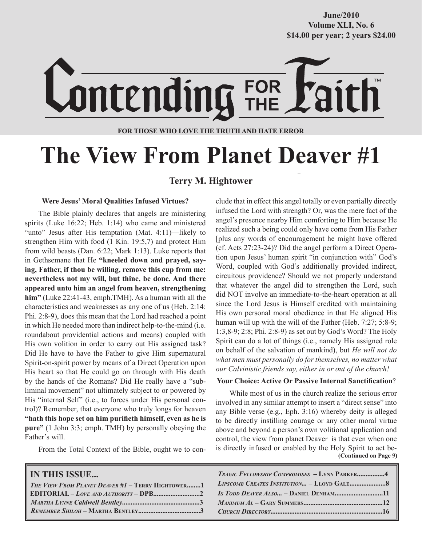**Volume XLI, No. 6 Volume XXXVIII, No. 10 \$14.00 per year; 2 years \$24.00 \$14.00 per year; 2 years \$24.00 June/2010**



#### **FOR THOSE WHO LOVE THE TRUTH AND HATE ERROR**

## **The View From Planet Deaver #1**

#### **Terry M. Hightower**

#### **Were Jesus' Moral Qualities Infused Virtues?**

The Bible plainly declares that angels are ministering spirits (Luke 16:22; Heb. 1:14) who came and ministered "unto" Jesus after His temptation (Mat. 4:11)—likely to strengthen Him with food (1 Kin. 19:5,7) and protect Him from wild beasts (Dan. 6:22; Mark 1:13). Luke reports that in Gethsemane that He **"kneeled down and prayed, saying, Father, if thou be willing, remove this cup from me: nevertheless not my will, but thine, be done. And there appeared unto him an angel from heaven, strengthening him"** (Luke 22:41-43, emph.TMH). As a human with all the characteristics and weaknesses as any one of us (Heb. 2:14: Phi. 2:8-9), does this mean that the Lord had reached a point in which He needed more than indirect help-to-the-mind (i.e. roundabout providential actions and means) coupled with His own volition in order to carry out His assigned task? Did He have to have the Father to give Him supernatural Spirit-on-spirit power by means of a Direct Operation upon His heart so that He could go on through with His death by the hands of the Romans? Did He really have a "subliminal movement" not ultimately subject to or powered by His "internal Self" (i.e., to forces under His personal control)? Remember, that everyone who truly longs for heaven **"hath this hope set on him purifieth himself, even as he is pure"** (1 John 3:3; emph. TMH) by personally obeying the Father's will.

From the Total Context of the Bible, ought we to con-

#### **IN THIS ISSUE...**

| THE VIEW FROM PLANET DEAVER #1 - TERRY HIGHTOWER1 |  |
|---------------------------------------------------|--|
|                                                   |  |
|                                                   |  |
|                                                   |  |
|                                                   |  |

clude that in effect this angel totally or even partially directly infused the Lord with strength? Or, was the mere fact of the angel's presence nearby Him comforting to Him because He realized such a being could only have come from His Father [plus any words of encouragement he might have offered (cf. Acts 27:23-24)? Did the angel perform a Direct Operation upon Jesus' human spirit "in conjunction with" God's Word, coupled with God's additionally provided indirect, circuitous providence? Should we not properly understand that whatever the angel did to strengthen the Lord, such did NOT involve an immediate-to-the-heart operation at all since the Lord Jesus is Himself credited with maintaining His own personal moral obedience in that He aligned His human will up with the will of the Father (Heb. 7:27; 5:8-9; 1:3,8-9; 2:8; Phi. 2:8-9) as set out by God's Word? The Holy Spirit can do a lot of things (i.e., namely His assigned role on behalf of the salvation of mankind), but *He will not do what men must personally do for themselves, no matter what our Calvinistic friends say, either in or out of the church!*

#### **Your Choice: Active Or Passive Internal Sanctification**?

 **(Continued on Page 9)** While most of us in the church realize the serious error involved in any similar attempt to insert a "direct sense" into any Bible verse (e.g., Eph. 3:16) whereby deity is alleged to be directly instilling courage or any other moral virtue above and beyond a person's own volitional application and control, the view from planet Deaver is that even when one is directly infused or enabled by the Holy Spirit to act be-

| <b>TRAGIC FELLOWSHIP COMPROMISES - LYNN PARKER4</b> |  |
|-----------------------------------------------------|--|
|                                                     |  |
| <i>Is Todd Deaver Also - Daniel Denham11</i>        |  |
|                                                     |  |
|                                                     |  |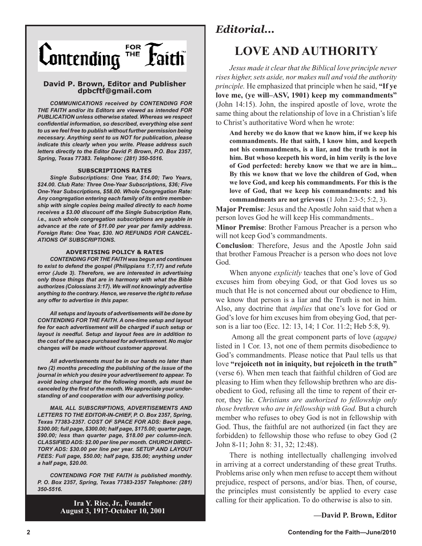

#### **David P. Brown, Editor and Publisher dpbcftf@gmail.com**

*COMMUNICATIONS received by CONTENDING FOR THE FAITH and/or its Editors are viewed as intended FOR PUBLICATION unless otherwise stated. Whereas we respect confidential information, so described, everything else sent to us we feel free to publish without further permission being necessary. Anything sent to us NOT for publication, please indicate this clearly when you write. Please address such letters directly to the Editor David P. Brown, P.O. Box 2357, Spring, Texas 77383. Telephone: (281) 350-5516.*

#### **SUBSCRIPTIONS RATES**

*Single Subscriptions: One Year, \$14.00; Two Years, \$24.00. Club Rate: Three One-Year Subscriptions, \$36; Five One-Year Subscriptions, \$58.00. Whole Congregation Rate: Any congregation entering each family of its entire membership with single copies being mailed directly to each home receives a \$3.00 discount off the Single Subscription Rate, i.e., such whole congregation subscriptions are payable in advance at the rate of \$11.00 per year per family address. Foreign Rate: One Year, \$30. NO REFUNDS FOR CANCEL-ATIONS OF SUBSCRIPTIONS.*

#### **ADVERTISING POLICY & RATES**

*CONTENDING FOR THE FAITH was begun and continues to exist to defend the gospel (Philippians 1:7,17) and refute error (Jude 3). Therefore, we are interested in advertising only those things that are in harmony with what the Bible authorizes (Colossians 3:17). We will not knowingly advertise anything to the contrary. Hence, we reserve the right to refuse any offer to advertise in this paper.*

*All setups and layouts of advertisements will be done by CONTENDING FOR THE FAITH. A one-time setup and layout fee for each advertisement will be charged if such setup or layout is needful. Setup and layout fees are in addition to the cost of the space purchased for advertisement. No major changes will be made without customer approval.*

*All advertisements must be in our hands no later than two (2) months preceding the publishing of the issue of the journal in which you desire your advertisement to appear. To avoid being charged for the following month, ads must be canceled by the first of the month. We appreciate your understanding of and cooperation with our advertising policy.*

*MAIL ALL SUBSCRIPTIONS, ADVERTISEMENTS AND LETTERS TO THE EDITOR-IN-CHIEF, P. O. Box 2357, Spring, Texas 77383-2357. COST OF SPACE FOR ADS: Back page, \$300.00; full page, \$300.00; half page, \$175.00; quarter page, \$90.00; less than quarter page, \$18.00 per column-inch. CLASSIFIED ADS: \$2.00 per line per month. CHURCH DIREC-TORY ADS: \$30.00 per line per year. SETUP AND LAYOUT FEES: Full page, \$50.00; half page, \$35.00; anything under a half page, \$20.00.*

*CONTENDING FOR THE FAITH is published monthly. P. O. Box 2357, Spring, Texas 77383-2357 Telephone: (281) 350-5516.*

> **Ira Y. Rice, Jr., Founder August 3, 1917-October 10, 2001**

### *Editorial...*

## **LOVE AND AUTHORITY**

*Jesus made it clear that the Biblical love principle never rises higher, sets aside, nor makes null and void the authority principle.* He emphasized that principle when he said, **"If ye love me, (ye will–ASV, 1901) keep my commandments"**  (John 14:15). John, the inspired apostle of love, wrote the same thing about the relationship of love in a Christian's life to Christ's authoritative Word when he wrote:

**And hereby we do know that we know him, if we keep his commandments. He that saith, I know him, and keepeth not his commandments, is a liar, and the truth is not in him. But whoso keepeth his word, in him verily is the love of God perfected: hereby know we that we are in him... By this we know that we love the children of God, when we love God, and keep his commandments. For this is the love of God, that we keep his commandments: and his commandments are not grievous** (1 John 2:3-5; 5:2, 3).

**Major Premise**: Jesus and the Apostle John said that when a person loves God he will keep His commandments..

**Minor Premise**: Brother Famous Preacher is a person who will not keep God's commandments.

**Conclusion**: Therefore, Jesus and the Apostle John said that brother Famous Preacher is a person who does not love God.

When anyone *explicitly* teaches that one's love of God excuses him from obeying God, or that God loves us so much that He is not concerned about our obedience to Him, we know that person is a liar and the Truth is not in him. Also, any doctrine that *implies* that one's love for God or God's love for him excuses him from obeying God, that person is a liar too (Ecc. 12: 13, 14; 1 Cor. 11:2; Heb 5:8, 9).

 Among all the great component parts of love (*agape)* listed in 1 Cor. 13, not one of them permits disobedience to God's commandments. Please notice that Paul tells us that love **"rejoiceth not in iniquity, but rejoiceth in the truth"** (verse 6). When men teach that faithful children of God are pleasing to Him when they fellowship brethren who are disobedient to God, refusing all the time to repent of their error, they lie. *Christians are authorized to fellowship only those brethren who are in fellowship with God.* But a church member who refuses to obey God is not in fellowship with God. Thus, the faithful are not authorized (in fact they are forbidden) to fellowship those who refuse to obey God (2 John 8-11; John 8: 31, 32; 12:48).

There is nothing intellectually challenging involved in arriving at a correct understanding of these great Truths. Problems arise only when men refuse to accept them without prejudice, respect of persons, and/or bias. Then, of course, the principles must consistently be applied to every case calling for their application. To do otherwise is also to sin.

**—David P. Brown, Editor**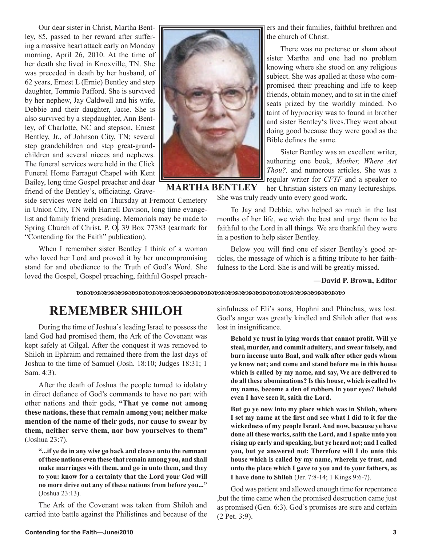Our dear sister in Christ, Martha Bentley, 85, passed to her reward after suffering a massive heart attack early on Monday morning, April 26, 2010. At the time of her death she lived in Knoxville, TN. She was preceded in death by her husband, of 62 years, Ernest L (Ernie) Bentley and step daughter, Tommie Pafford. She is survived by her nephew, Jay Caldwell and his wife, Debbie and their daughter, Jacie. She is also survived by a stepdaughter, Ann Bentley, of Charlotte, NC and stepson, Ernest Bentley, Jr., of Johnson City, TN; several step grandchildren and step great-grandchildren and several nieces and nephews. The funeral services were held in the Click Funeral Home Farragut Chapel with Kent Bailey, long time Gospel preacher and dear friend of the Bentley's, officiating. Grave-



**MARTHA BENTLEY**

side services were held on Thursday at Fremont Cemetery in Union City, TN with Harrell Davison, long time evangelist and family friend presiding. Memorials may be made to Spring Church of Christ, P. O. 39 Box 77383 (earmark for "Contending for the Faith" publication).

When I remember sister Bentley I think of a woman who loved her Lord and proved it by her uncompromising stand for and obedience to the Truth of God's Word. She loved the Gospel, Gospel preaching, faithful Gospel preachers and their families, faithful brethren and the church of Christ.

There was no pretense or sham about sister Martha and one had no problem knowing where she stood on any religious subject. She was apalled at those who compromised their preaching and life to keep friends, obtain money, and to sit in the chief seats prized by the worldly minded. No taint of hyprocrisy was to found in brother and sister Bentley's lives.They went about doing good because they were good as the Bible defines the same.

Sister Bentley was an excellent writer, authoring one book, *Mother, Where Art Thou?,* and numerous articles. She was a regular writer for *CFTF* and a speaker to her Christian sisters on many lectureships.

She was truly ready unto every good work.

To Jay and Debbie, who helped so much in the last months of her life, we wish the best and urge them to be faithful to the Lord in all things. We are thankful they were in a postion to help sister Bentley.

Below you will find one of sister Bentley's good articles, the message of which is a fitting tribute to her faithfulness to the Lord. She is and will be greatly missed.

#### **—David P. Brown, Editor**

## **REMEMBER SHILOH**

During the time of Joshua's leading Israel to possess the land God had promised them, the Ark of the Covenant was kept safely at Gilgal. After the conquest it was removed to Shiloh in Ephraim and remained there from the last days of Joshua to the time of Samuel (Josh. 18:10; Judges 18:31; 1 Sam. 4:3).

After the death of Joshua the people turned to idolatry in direct defiance of God's commands to have no part with other nations and their gods, **"That ye come not among these nations, these that remain among you; neither make mention of the name of their gods, nor cause to swear by them, neither serve them, nor bow yourselves to them"**  (Joshua 23:7).

**"...if ye do in any wise go back and cleave unto the remnant of these nations even these that remain among you, and shall make marriages with them, and go in unto them, and they to you: know for a certainty that the Lord your God will no more drive out any of these nations from before you..."**  (Joshua 23:13).

The Ark of the Covenant was taken from Shiloh and carried into battle against the Philistines and because of the

sinfulness of Eli's sons, Hophni and Phinehas, was lost. God's anger was greatly kindled and Shiloh after that was lost in insignificance.

**Behold ye trust in lying words that cannot profit. Will ye steal, murder, and commit adultery, and swear falsely, and burn incense unto Baal, and walk after other gods whom ye know not; and come and stand before me in this house which is called by my name, and say, We are delivered to do all these abominations? Is this house, which is called by my name, become a den of robbers in your eyes? Behold even I have seen it, saith the Lord.**

**But go ye now into my place which was in Shiloh, where I set my name at the first and see what I did to it for the wickedness of my people Israel. And now, because ye have done all these works, saith the Lord, and I spake unto you rising up early and speaking, but ye heard not; and I called you, but ye answered not; Therefore will I do unto this house which is called by my name, wherein ye trust, and unto the place which I gave to you and to your fathers, as I have done to Shiloh** (Jer. 7:8-14; 1 Kings 9:6-7).

God was patient and allowed enough time for repentance ,but the time came when the promised destruction came just as promised (Gen. 6:3). God's promises are sure and certain (2 Pet. 3:9).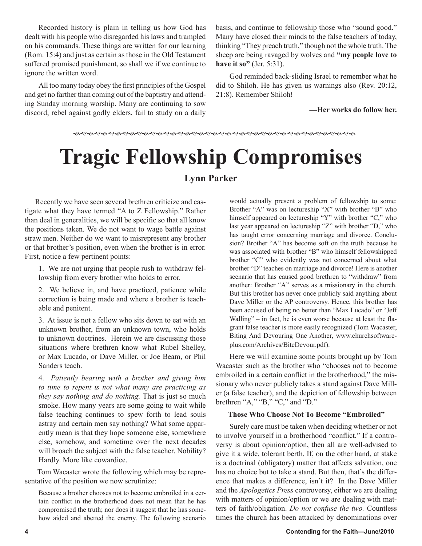Recorded history is plain in telling us how God has dealt with his people who disregarded his laws and trampled on his commands. These things are written for our learning (Rom. 15:4) and just as certain as those in the Old Testament suffered promised punishment, so shall we if we continue to ignore the written word.

All too many today obey the first principles of the Gospel and get no farther than coming out of the baptistry and attending Sunday morning worship. Many are continuing to sow discord, rebel against godly elders, fail to study on a daily

basis, and continue to fellowship those who "sound good." Many have closed their minds to the false teachers of today, thinking "They preach truth," though not the whole truth. The sheep are being ravaged by wolves and **"my people love to have it so"** (Jer. 5:31).

God reminded back-sliding Israel to remember what he did to Shiloh. He has given us warnings also (Rev. 20:12, 21:8). Remember Shiloh!

#### **—Her works do follow her.**

# **Tragic Fellowship Compromises**

#### **Lynn Parker**

 Recently we have seen several brethren criticize and castigate what they have termed "A to Z Fellowship." Rather than deal in generalities, we will be specific so that all know the positions taken. We do not want to wage battle against straw men. Neither do we want to misrepresent any brother or that brother's position, even when the brother is in error. First, notice a few pertinent points:

1. We are not urging that people rush to withdraw fellowship from every brother who holds to error.

2. We believe in, and have practiced, patience while correction is being made and where a brother is teachable and penitent.

3. At issue is not a fellow who sits down to eat with an unknown brother, from an unknown town, who holds to unknown doctrines. Herein we are discussing those situations where brethren know what Rubel Shelley, or Max Lucado, or Dave Miller, or Joe Beam, or Phil Sanders teach.

4. *Patiently bearing with a brother and giving him to time to repent is not what many are practicing as they say nothing and do nothing.* That is just so much smoke. How many years are some going to wait while false teaching continues to spew forth to lead souls astray and certain men say nothing? What some apparently mean is that they hope someone else, somewhere else, somehow, and sometime over the next decades will broach the subject with the false teacher. Nobility? Hardly. More like cowardice.

 Tom Wacaster wrote the following which may be representative of the position we now scrutinize:

Because a brother chooses not to become embroiled in a certain conflict in the brotherhood does not mean that he has compromised the truth; nor does it suggest that he has somehow aided and abetted the enemy. The following scenario

would actually present a problem of fellowship to some: Brother "A" was on lectureship "X" with brother "B" who himself appeared on lectureship "Y" with brother "C," who last year appeared on lectureship "Z" with brother "D," who has taught error concerning marriage and divorce. Conclusion? Brother "A" has become soft on the truth because he was associated with brother "B" who himself fellowshipped brother "C" who evidently was not concerned about what brother "D" teaches on marriage and divorce! Here is another scenario that has caused good brethren to "withdraw" from another: Brother "A" serves as a missionary in the church. But this brother has never once publicly said anything about Dave Miller or the AP controversy. Hence, this brother has been accused of being no better than "Max Lucado" or "Jeff Walling" – in fact, he is even worse because at least the flagrant false teacher is more easily recognized (Tom Wacaster, Biting And Devouring One Another, www.churchsoftwareplus.com/Archives/BiteDevour.pdf).

Here we will examine some points brought up by Tom Wacaster such as the brother who "chooses not to become embroiled in a certain conflict in the brotherhood," the missionary who never publicly takes a stand against Dave Miller (a false teacher), and the depiction of fellowship between brethren "A," "B," "C," and "D."

#### **Those Who Choose Not To Become "Embroiled"**

Surely care must be taken when deciding whether or not to involve yourself in a brotherhood "conflict." If a controversy is about opinion/option, then all are well-advised to give it a wide, tolerant berth. If, on the other hand, at stake is a doctrinal (obligatory) matter that affects salvation, one has no choice but to take a stand. But then, that's the difference that makes a difference, isn't it? In the Dave Miller and the *Apologetics Press* controversy, either we are dealing with matters of opinion/option or we are dealing with matters of faith/obligation. *Do not confuse the two.* Countless times the church has been attacked by denominations over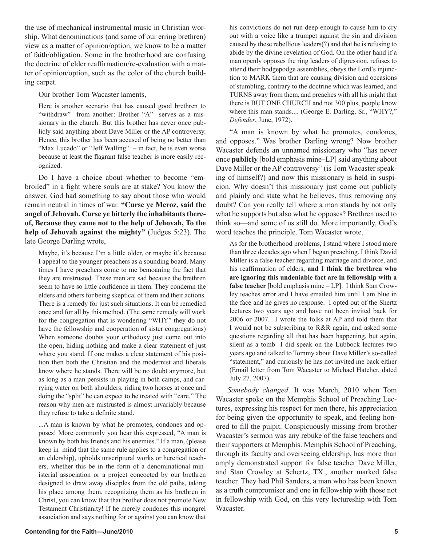the use of mechanical instrumental music in Christian worship. What denominations (and some of our erring brethren) view as a matter of opinion/option, we know to be a matter of faith/obligation. Some in the brotherhood are confusing the doctrine of elder reaffirmation/re-evaluation with a matter of opinion/option, such as the color of the church building carpet.

Our brother Tom Wacaster laments,

Here is another scenario that has caused good brethren to "withdraw" from another: Brother "A" serves as a missionary in the church. But this brother has never once publicly said anything about Dave Miller or the AP controversy. Hence, this brother has been accused of being no better than "Max Lucado" or "Jeff Walling" – in fact, he is even worse because at least the flagrant false teacher is more easily recognized.

Do I have a choice about whether to become "embroiled" in a fight where souls are at stake? You know the answer. God had something to say about those who would remain neutral in times of war. **"Curse ye Meroz, said the angel of Jehovah. Curse ye bitterly the inhabitants thereof, Because they came not to the help of Jehovah, To the help of Jehovah against the mighty"** (Judges 5:23). The late George Darling wrote,

Maybe, it's because I'm a little older, or maybe it's because I appeal to the younger preachers as a sounding board. Many times I have preachers come to me bemoaning the fact that they are mistrusted. These men are sad because the brethren seem to have so little confidence in them. They condemn the elders and others for being skeptical of them and their actions. There is a remedy for just such situations. It can be remedied once and for all by this method. (The same remedy will work for the congregation that is wondering "WHY" they do not have the fellowship and cooperation of sister congregations) When someone doubts your orthodoxy just come out into the open, hiding nothing and make a clear statement of just where you stand. If one makes a clear statement of his position then both the Christian and the modernist and liberals know where he stands. There will be no doubt anymore, but as long as a man persists in playing in both camps, and carrying water on both shoulders, riding two horses at once and doing the "split" he can expect to be treated with "care." The reason why men are mistrusted is almost invariably because they refuse to take a definite stand.

...A man is known by what he promotes, condones and opposes! More commonly you hear this expressed, "A man is known by both his friends and his enemies." If a man, (please keep in mind that the same rule applies to a congregation or an eldership), upholds unscriptural works or heretical teachers, whether this be in the form of a denominational ministerial association or a project concocted by our brethren designed to draw away disciples from the old paths, taking his place among them, recognizing them as his brethren in Christ, you can know that that brother does not promote New Testament Christianity! If he merely condones this mongrel association and says nothing for or against you can know that

his convictions do not run deep enough to cause him to cry out with a voice like a trumpet against the sin and division caused by these rebellious leaders(?) and that he is refusing to abide by the divine revelation of God. On the other hand if a man openly opposes the ring leaders of digression, refuses to attend their hodgepodge assemblies, obeys the Lord's injunction to MARK them that are causing division and occasions of stumbling, contrary to the doctrine which was learned, and TURNS away from them, and preaches with all his might that there is BUT ONE CHURCH and not 300 plus, people know where this man stands.... (George E. Darling, Sr., "WHY?," *Defender*, June, 1972).

"A man is known by what he promotes, condones, and opposes." Was brother Darling wrong? Now brother Wacaster defends an unnamed missionary who "has never once **publicly** [bold emphasis mine–LP] said anything about Dave Miller or the AP controversy" (is Tom Wacaster speaking of himself?) and now this missionary is held in suspicion. Why doesn't this missionary just come out publicly and plainly and state what he believes, thus removing any doubt? Can you really tell where a man stands by not only what he supports but also what he opposes? Brethren used to think so—and some of us still do. More importantly, God's word teaches the principle. Tom Wacaster wrote,

As for the brotherhood problems, I stand where I stood more than three decades ago when I began preaching. I think David Miller is a false teacher regarding marriage and divorce, and his reaffirmation of elders, **and I think the brethren who are ignoring this undeniable fact are in fellowship with a false teacher** [bold emphasis mine – LP]. I think Stan Crowley teaches error and I have emailed him until I am blue in the face and he gives no response. I opted out of the Shertz lectures two years ago and have not been invited back for 2006 or 2007. I wrote the folks at AP and told them that I would not be subscribing to R&R again, and asked some questions regarding all that has been happening, but again, silent as a tomb I did speak on the Lubbock lectures two years ago and talked to Tommy about Dave Miller's so-called "statement," and curiously he has not invited me back either (Email letter from Tom Wacaster to Michael Hatcher, dated July 27, 2007).

*Somebody changed*. It was March, 2010 when Tom Wacaster spoke on the Memphis School of Preaching Lectures, expressing his respect for men there, his appreciation for being given the opportunity to speak, and feeling honored to fill the pulpit. Conspicuously missing from brother Wacaster's sermon was any rebuke of the false teachers and their supporters at Memphis. Memphis School of Preaching, through its faculty and overseeing eldership, has more than amply demonstrated support for false teacher Dave Miller, and Stan Crowley at Schertz, TX., another marked false teacher. They had Phil Sanders, a man who has been known as a truth compromiser and one in fellowship with those not in fellowship with God, on this very lectureship with Tom Wacaster.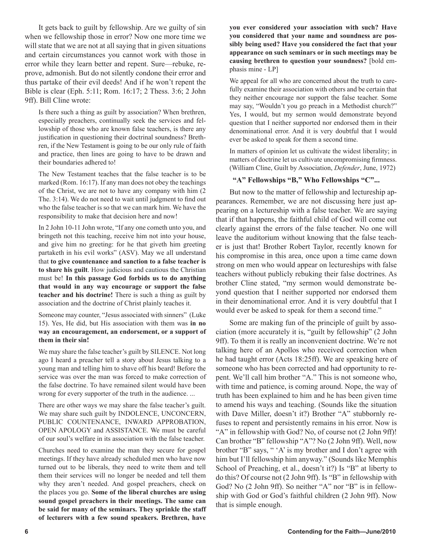It gets back to guilt by fellowship. Are we guilty of sin when we fellowship those in error? Now one more time we will state that we are not at all saying that in given situations and certain circumstances you cannot work with those in error while they learn better and repent. Sure—rebuke, reprove, admonish. But do not silently condone their error and thus partake of their evil deeds! And if he won't repent the Bible is clear (Eph. 5:11; Rom. 16:17; 2 Thess. 3:6; 2 John 9ff). Bill Cline wrote:

Is there such a thing as guilt by association? When brethren, especially preachers, continually seek the services and fellowship of those who are known false teachers, is there any justification in questioning their doctrinal soundness? Brethren, if the New Testament is going to be our only rule of faith and practice, then lines are going to have to be drawn and their boundaries adhered to!

The New Testament teaches that the false teacher is to be marked (Rom. 16:17). If any man does not obey the teachings of the Christ, we are not to have any company with him (2 The. 3:14). We do not need to wait until judgment to find out who the false teacher is so that we can mark him. We have the responsibility to make that decision here and now!

In 2 John 10-11 John wrote, "If any one cometh unto you, and bringeth not this teaching, receive him not into your house, and give him no greeting: for he that giveth him greeting partaketh in his evil works" (ASV). May we all understand that **to give countenance and sanction to a false teacher is to share his guilt**. How judicious and cautious the Christian must be! **In this passage God forbids us to do anything that would in any way encourage or support the false teacher and his doctrine!** There is such a thing as guilt by association and the doctrine of Christ plainly teaches it.

Someone may counter, "Jesus associated with sinners" (Luke 15). Yes, He did, but His association with them was **in no way an encouragement, an endorsement, or a support of them in their sin!**

We may share the false teacher's guilt by SILENCE. Not long ago I heard a preacher tell a story about Jesus talking to a young man and telling him to shave off his beard! Before the service was over the man was forced to make correction of the false doctrine. To have remained silent would have been wrong for every supporter of the truth in the audience. ...

There are other ways we may share the false teacher's guilt. We may share such guilt by INDOLENCE, UNCONCERN, PUBLIC COUNTENANCE, INWARD APPROBATION, OPEN APOLOGY and ASSISTANCE. We must be careful of our soul's welfare in its association with the false teacher.

Churches need to examine the man they secure for gospel meetings. If they have already scheduled men who have now turned out to be liberals, they need to write them and tell them their services will no longer be needed and tell them why they aren't needed. And gospel preachers, check on the places you go. **Some of the liberal churches are using sound gospel preachers in their meetings. The same can be said for many of the seminars. They sprinkle the staff of lecturers with a few sound speakers. Brethren, have** 

**you ever considered your association with such? Have you considered that your name and soundness are possibly being used? Have you considered the fact that your appearance on such seminars or in such meetings may be causing brethren to question your soundness?** [bold emphasis mine - LP]

We appeal for all who are concerned about the truth to carefully examine their association with others and be certain that they neither encourage nor support the false teacher. Some may say, "Wouldn't you go preach in a Methodist church?" Yes, I would, but my sermon would demonstrate beyond question that I neither supported nor endorsed them in their denominational error. And it is very doubtful that I would ever be asked to speak for them a second time.

In matters of opinion let us cultivate the widest liberality; in matters of doctrine let us cultivate uncompromising firmness. (William Cline, Guilt by Association, *Defender*, June, 1972)

#### **"A" Fellowships "B," Who Fellowships "C"...**

But now to the matter of fellowship and lectureship appearances. Remember, we are not discussing here just appearing on a lectureship with a false teacher. We are saying that if that happens, the faithful child of God will come out clearly against the errors of the false teacher. No one will leave the auditorium without knowing that the false teacher is just that! Brother Robert Taylor, recently known for his compromise in this area, once upon a time came down strong on men who would appear on lectureships with false teachers without publicly rebuking their false doctrines. As brother Cline stated, "my sermon would demonstrate beyond question that I neither supported nor endorsed them in their denominational error. And it is very doubtful that I would ever be asked to speak for them a second time."

Some are making fun of the principle of guilt by association (more accurately it is, "guilt by fellowship" (2 John 9ff). To them it is really an inconvenient doctrine. We're not talking here of an Apollos who received correction when he had taught error (Acts 18:25ff). We are speaking here of someone who has been corrected and had opportunity to repent. We'll call him brother "A." This is not someone who, with time and patience, is coming around. Nope, the way of truth has been explained to him and he has been given time to amend his ways and teaching. (Sounds like the situation with Dave Miller, doesn't it?) Brother "A" stubbornly refuses to repent and persistently remains in his error. Now is "A" in fellowship with God? No, of course not (2 John 9ff)! Can brother "B" fellowship "A"? No (2 John 9ff). Well, now brother "B" says, " 'A' is my brother and I don't agree with him but I'll fellowship him anyway." (Sounds like Memphis School of Preaching, et al., doesn't it?) Is "B" at liberty to do this? Of course not (2 John 9ff). Is "B" in fellowship with God? No (2 John 9ff). So neither "A" nor "B" is in fellowship with God or God's faithful children (2 John 9ff). Now that is simple enough.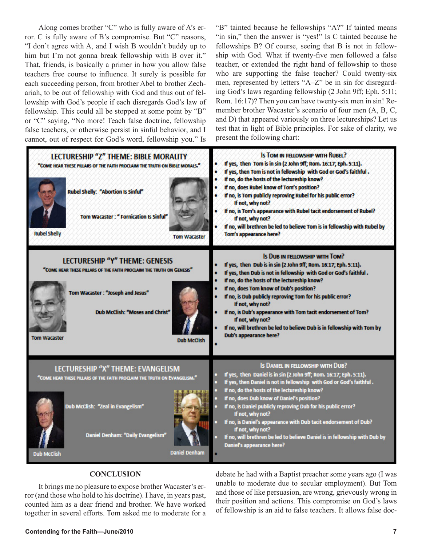Along comes brother "C" who is fully aware of A's error. C is fully aware of B's compromise. But "C" reasons, "I don't agree with A, and I wish B wouldn't buddy up to him but I'm not gonna break fellowship with B over it." That, friends, is basically a primer in how you allow false teachers free course to influence. It surely is possible for each succeeding person, from brother Abel to brother Zechariah, to be out of fellowship with God and thus out of fellowship with God's people if each disregards God's law of fellowship. This could all be stopped at some point by "B" or "C" saying, "No more! Teach false doctrine, fellowship false teachers, or otherwise persist in sinful behavior, and I cannot, out of respect for God's word, fellowship you." Is

"B" tainted because he fellowships "A?" If tainted means "in sin," then the answer is "yes!" Is C tainted because he fellowships B? Of course, seeing that B is not in fellowship with God. What if twenty-five men followed a false teacher, or extended the right hand of fellowship to those who are supporting the false teacher? Could twenty-six men, represented by letters "A–Z" be in sin for disregarding God's laws regarding fellowship (2 John 9ff; Eph. 5:11; Rom. 16:17)? Then you can have twenty-six men in sin! Remember brother Wacaster's scenario of four men (A, B, C, and D) that appeared variously on three lectureships? Let us test that in light of Bible principles. For sake of clarity, we present the following chart:

| LECTURESHIP "Z" THEME: BIBLE MORALITY<br>"COME HEAR THESE PILLARS OF THE FAITH PROCLAIM THE TRUTH ON BIBLE MORALS."<br><b>Rubel Shelly: "Abortion Is Sinful"</b><br><b>Tom Wacaster: " Fornication Is Sinful"</b><br><b>Rubel Shelly</b><br><b>Tom Wacaster</b> | <b>IS TOM IN FELLOWSHIP WITH RUBEL?</b><br>If yes, then Tom is in sin (2 John 9ff; Rom. 16:17; Eph. 5:11).<br>If yes, then Tom is not in fellowship with God or God's faithful.<br>If no, do the hosts of the lectureship know?<br>If no, does Rubel know of Tom's position?<br>If no, is Tom publicly reproving Rubel for his public error?<br>If not, why not?<br>If no, is Tom's appearance with Rubel tacit endorsement of Rubel?<br>If not, why not?<br>If no, will brethren be led to believe Tom is in fellowship with Rubel by<br>Tom's appearance here?      |
|-----------------------------------------------------------------------------------------------------------------------------------------------------------------------------------------------------------------------------------------------------------------|-----------------------------------------------------------------------------------------------------------------------------------------------------------------------------------------------------------------------------------------------------------------------------------------------------------------------------------------------------------------------------------------------------------------------------------------------------------------------------------------------------------------------------------------------------------------------|
| <b>LECTURESHIP "Y" THEME: GENESIS</b><br>"COME HEAR THESE PILLARS OF THE FAITH PROCLAIM THE TRUTH ON GENESIS"<br>Tom Wacaster: "Joseph and Jesus"<br>Dub McClish: "Moses and Christ"<br><b>Tom Wacaster</b><br><b>Dub McClish</b>                               | IS DUB IN FELLOWSHIP WITH TOM?<br>If yes, then Dub is in sin (2 John 9ff; Rom. 16:17; Eph. 5:11).<br>If yes, then Dub is not in fellowship with God or God's faithful.<br>If no, do the hosts of the lectureship know?<br>If no, does Tom know of Dub's position?<br>If no, is Dub publicly reproving Tom for his public error?<br>If not, why not?<br>If no, is Dub's appearance with Tom tacit endorsement of Tom?<br>٠<br>If not, why not?<br>If no, will brethren be led to believe Dub is in fellowship with Tom by<br><b>Dub's appearance here?</b>             |
| LECTURESHIP "X" THEME: EVANGELISM<br>"COME HEAR THESE PILLARS OF THE FAITH PROCLAIM THE TRUTH ON EVANGELISM."<br>Dub McClish: "Zeal in Evangelism"<br>Daniel Denham: "Daily Evangelism"<br><b>Daniel Denham</b><br><b>Dub McClish</b>                           | IS DANIEL IN FELLOWSHIP WITH DUB?<br>If yes, then Daniel is in sin (2 John 9ff; Rom. 16:17; Eph. 5:11).<br>If yes, then Daniel is not in fellowship with God or God's faithful.<br>If no, do the hosts of the lectureship know?<br>If no, does Dub know of Daniel's position?<br>If no, is Daniel publicly reproving Dub for his public error?<br>If not, why not?<br>If no, is Daniel's appearance with Dub tacit endorsement of Dub?<br>If not, why not?<br>If no, will brethren be led to believe Daniel is in fellowship with Dub by<br>Daniel's appearance here? |

#### **CONCLUSION**

It brings me no pleasure to expose brother Wacaster's error (and those who hold to his doctrine). I have, in years past, counted him as a dear friend and brother. We have worked together in several efforts. Tom asked me to moderate for a debate he had with a Baptist preacher some years ago (I was unable to moderate due to secular employment). But Tom and those of like persuasion, are wrong, grievously wrong in their position and actions. This compromise on God's laws of fellowship is an aid to false teachers. It allows false doc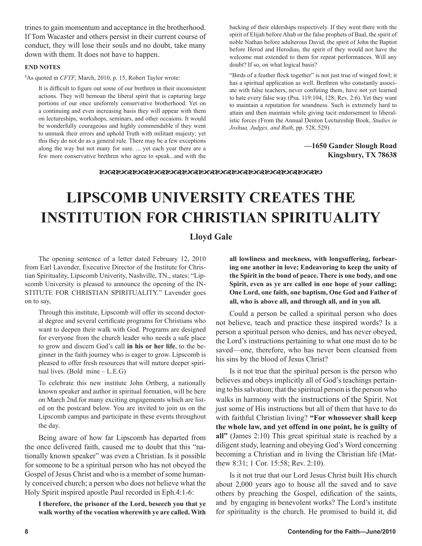trines to gain momentum and acceptance in the brotherhood. If Tom Wacaster and others persist in their current course of conduct, they will lose their souls and no doubt, take many down with them. It does not have to happen.

#### **END NOTES**

**1** As quoted in *CFTF*, March, 2010, p. 15, Robert Taylor wrote:

It is difficult to figure out some of our brethren in their inconsistent actions. They will bemoan the liberal spirit that is capturing large portions of our once uniformly conservative brotherhood. Yet on a continuing and even increasing basis they will appear with them on lectureships, workshops, seminars, and other occaions. It would be wonderfully courageous and highly commendable if they went to unmask their errors and uphold Truth with militant majesty; yet this they do not do as a general rule. There may be a few exceptions along the way but not many for sure. ... yet each year there are a few more conservative brethren who agree to speak...and with the backing of their elderships respectively. If they went there with the spirit of Elijah before Ahab or the false prophets of Baal, the spirit of noble Nathan before adulterous David, the spirit of John the Baptist before Herod and Herodias, the spirit of they would not have the welcome mat extended to them for repeat performances. Will any doubt? If so, on what logical basis?

"Birds of a feather flock together" is not just true of winged fowl; it has a spiritual application as well. Brethren who constantly associate with false teachers, never confuting them, have not yet learned to hate every false way (Psa. 119:104, 128; Rev. 2:6). Yet they want to maintain a reputation for soundness. Such is extremely hard to attain and then maintain while giving tacit endorsement to liberalistic forces (From the Annual Denton Lectureship Book, *Studies in Joshua, Judges, and Ruth*, pp. 528, 529).

#### **—1650 Gander Slough Road Kingsbury, TX 78638**

#### 

## **LIPSCOMB UNIVERSITY CREATES THE INSTITUTION FOR CHRISTIAN SPIRITUALITY**

#### **Lloyd Gale**

The opening sentence of a letter dated February 12, 2010 from Earl Lavender, Executive Director of the Institute for Christian Spirituality, Lipscomb Univerity, Nashville, TN., states: "Lipscomb University is pleased to announce the opening of the IN-STITUTE FOR CHRISTIAN SPIRITUALITY." Lavender goes on to say,

Through this institute, Lipscomb will offer its second doctoral degree and several certificate programs for Christians who want to deepen their walk with God. Programs are designed for everyone from the church leader who needs a safe place to grow and discern God's call **in his or her life**, to the beginner in the faith journey who is eager to grow. Lipscomb is pleased to offer fresh resources that will nuture deeper spiritual lives. (Bold mine – L.E.G)

To celebrate this new institute John Ortberg, a nationally known speaker and author in spiritual formation, will be here on March 2nd.for many exciting engagements which are listed on the postcard below. You are invited to join us on the Lipscomb campus and participate in these events throughout the day.

Being aware of how far Lipscomb has departed from the once delivered faith, caused me to doubt that this "nationally known speaker" was even a Christian. Is it possible for someone to be a spiritual person who has not obeyed the Gospel of Jesus Christ and who is a member of some humanly conceived church; a person who does not believe what the Holy Spirit inspired apostle Paul recorded in Eph.4:1-6:

**I therefore, the prisoner of the Lord, beseech you that ye walk worthy of the vocation wherewith ye are called. With**  **all lowliness and meekness, with longsuffering, forbearing one another in love; Endeavoring to keep the unity of the Spirit in the bond of peace. There is one body, and one Spirit, even as ye are called in one hope of your calling; One Lord, one faith, one baptism, One God and Father of all, who is above all, and through all, and in you all.**

Could a person be called a spiritual person who does not believe, teach and practice these inspired words? Is a person a spiritual person who denies, and has never obeyed, the Lord's instructions pertaining to what one must do to be saved—one, therefore, who has never been cleansed from his sins by the blood of Jesus Christ?

Is it not true that the spiritual person is the person who believes and obeys implicitly all of God's teachings pertaining to his salvation; that the spiritual person is the person who walks in harmony with the instructions of the Spirit. Not just some of His instructions but all of them that have to do with faithful Christian living? **"For whosoever shall keep the whole law, and yet offend in one point, he is guilty of all"** (James 2:10) This great spiritual state is reached by a diligent study, learning and obeying God's Word concerning becoming a Christian and in living the Christian life (Matthew 8:31; 1 Cor. 15:58; Rev. 2:10).

Is it not true that our Lord Jesus Christ built His church about 2,000 years ago to house all the saved and to save others by preaching the Gospel, edification of the saints, and by engaging in benevolent works? The Lord's institute for spirituality is the church. He promised to build it, did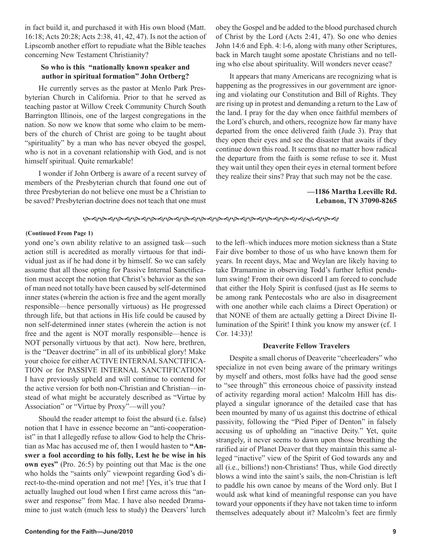in fact build it, and purchased it with His own blood (Matt. 16:18; Acts 20:28; Acts 2:38, 41, 42, 47). Is not the action of Lipscomb another effort to repudiate what the Bible teaches concerning New Testament Christianity?

#### **So who is this "nationally known speaker and author in spiritual formation" John Ortberg?**

He currently serves as the pastor at Menlo Park Presbyterian Church in California. Prior to that he served as teaching pastor at Willow Creek Community Church South Barrington Illinois, one of the largest congregations in the nation. So now we know that some who claim to be members of the church of Christ are going to be taught about "spirituality" by a man who has never obeyed the gospel, who is not in a covenant relationship with God, and is not himself spiritual. Quite remarkable!

I wonder if John Ortberg is aware of a recent survey of members of the Presbyterian church that found one out of three Presbyterian do not believe one must be a Christian to be saved? Presbyterian doctrine does not teach that one must

obey the Gospel and be added to the blood purchased church of Christ by the Lord (Acts 2:41, 47). So one who denies John 14:6 and Eph. 4: l-6, along with many other Scriptures, back in March taught some apostate Christians and no telling who else about spirituality. Will wonders never cease?

It appears that many Americans are recognizing what is happening as the progressives in our government are ignoring and violating our Constitution and Bill of Rights. They are rising up in protest and demanding a return to the Law of the land. I pray for the day when once faithful members of the Lord's church, and others, recognize how far many have departed from the once delivered faith (Jude 3). Pray that they open their eyes and see the disaster that awaits if they continue down this road. It seems that no matter how radical the departure from the faith is some refuse to see it. Must they wait until they open their eyes in eternal torment before they realize their sins? Pray that such may not be the case.

#### **—1186 Martha Leeville Rd. Lebanon, TN 37090-8265**

*ବ୍ୟବଶକ୍ଷିତ ସିଂକ୍ଷାବ୍ୟ ବିଶାବ୍ୟ ବିଶାବ୍ୟ ବିଶାବ୍ୟ ବିଶାବ୍ୟ ବିଶାବ୍ୟ ବିଶାବ୍ୟ ବିଶାବ୍ୟ ବି* 

#### **(Continued From Page 1)**

yond one's own ability relative to an assigned task—such action still is accredited as morally virtuous for that individual just as if he had done it by himself. So we can safely assume that all those opting for Passive Internal Sanctification must accept the notion that Christ's behavior as the son of man need not totally have been caused by self-determined inner states (wherein the action is free and the agent morally responsible—hence personally virtuous) as He progressed through life, but that actions in His life could be caused by non self-determined inner states (wherein the action is not free and the agent is NOT morally responsible—hence is NOT personally virtuous by that act). Now here, brethren, is the "Deaver doctrine" in all of its unbiblical glory! Make your choice for either ACTIVE INTERNAL SANCTIFICA-TION or for PASSIVE INTERNAL SANCTIFICATION! I have previously upheld and will continue to contend for the active version for both non-Christian and Christian—instead of what might be accurately described as "Virtue by Association" or "Virtue by Proxy"—will you?

Should the reader attempt to foist the absurd (i.e. false) notion that I have in essence become an "anti-cooperationist" in that I allegedly refuse to allow God to help the Christian as Mac has accused me of, then I would hasten to **"Answer a fool according to his folly, Lest he be wise in his own eyes"** (Pro. 26:5) by pointing out that Mac is the one who holds the "saints only" viewpoint regarding God's direct-to-the-mind operation and not me! [Yes, it's true that I actually laughed out loud when I first came across this "answer and response" from Mac. I have also needed Dramamine to just watch (much less to study) the Deavers' lurch to the left–which induces more motion sickness than a State Fair dive bomber to those of us who have known them for years. In recent days, Mac and Weylan are likely having to take Dramamine in observing Todd's further leftist pendulum swing! From their own discord I am forced to conclude that either the Holy Spirit is confused (just as He seems to be among rank Pentecostals who are also in disagreement with one another while each claims a Direct Operation) or that NONE of them are actually getting a Direct Divine Illumination of the Spirit! I think you know my answer (cf. 1 Cor. 14:33)!

#### **Deaverite Fellow Travelers**

Despite a small chorus of Deaverite "cheerleaders" who specialize in not even being aware of the primary writings by myself and others, most folks have had the good sense to "see through" this erroneous choice of passivity instead of activity regarding moral action! Malcolm Hill has displayed a singular ignorance of the detailed case that has been mounted by many of us against this doctrine of ethical passivity, following the "Pied Piper of Denton" in falsely accusing us of upholding an "inactive Deity." Yet, quite strangely, it never seems to dawn upon those breathing the rarified air of Planet Deaver that they maintain this same alleged "inactive" view of the Spirit of God towards any and all (i.e., billions!) non-Christians! Thus, while God directly blows a wind into the saint's sails, the non-Christian is left to paddle his own canoe by means of the Word only. But I would ask what kind of meaningful response can you have toward your opponents if they have not taken time to inform themselves adequately about it? Malcolm's feet are firmly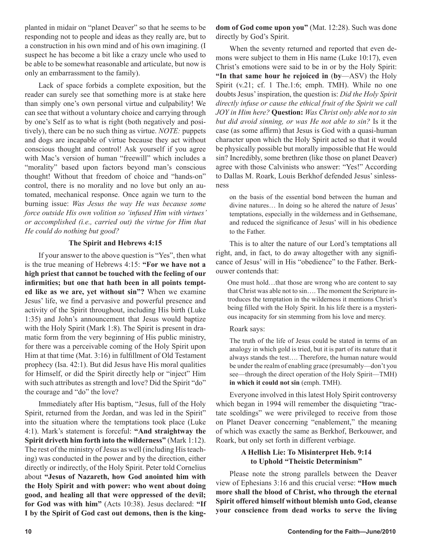planted in midair on "planet Deaver" so that he seems to be responding not to people and ideas as they really are, but to a construction in his own mind and of his own imagining. (I suspect he has become a bit like a crazy uncle who used to be able to be somewhat reasonable and articulate, but now is only an embarrassment to the family).

Lack of space forbids a complete exposition, but the reader can surely see that something more is at stake here than simply one's own personal virtue and culpability! We can see that without a voluntary choice and carrying through by one's Self as to what is right (both negatively and positively), there can be no such thing as virtue. *NOTE:* puppets and dogs are incapable of virtue because they act without conscious thought and control! Ask yourself if you agree with Mac's version of human "freewill" which includes a "morality" based upon factors beyond man's conscious thought! Without that freedom of choice and "hands-on" control, there is no morality and no love but only an automated, mechanical response. Once again we turn to the burning issue: *Was Jesus the way He was because some force outside His own volition so 'infused Him with virtues' or accomplished (i.e., carried out) the virtue for Him that He could do nothing but good?*

#### **The Spirit and Hebrews 4:15**

If your answer to the above question is "Yes", then what is the true meaning of Hebrews 4:15: **"For we have not a high priest that cannot be touched with the feeling of our infirmities; but one that hath been in all points tempted like as we are, yet without sin"?** When we examine Jesus' life, we find a pervasive and powerful presence and activity of the Spirit throughout, including His birth (Luke 1:35) and John's announcement that Jesus would baptize with the Holy Spirit (Mark 1:8). The Spirit is present in dramatic form from the very beginning of His public ministry, for there was a perceivable coming of the Holy Spirit upon Him at that time (Mat. 3:16) in fulfillment of Old Testament prophecy (Isa. 42:1). But did Jesus have His moral qualities for Himself, or did the Spirit directly help or "inject" Him with such attributes as strength and love? Did the Spirit "do" the courage and "do" the love?

Immediately after His baptism, "Jesus, full of the Holy Spirit, returned from the Jordan, and was led in the Spirit" into the situation where the temptations took place (Luke 4:1). Mark's statement is forceful: **"And straightway the Spirit driveth him forth into the wilderness"** (Mark 1:12). The rest of the ministry of Jesus as well (including His teaching) was conducted in the power and by the direction, either directly or indirectly, of the Holy Spirit. Peter told Cornelius about **"Jesus of Nazareth, how God anointed him with the Holy Spirit and with power: who went about doing good, and healing all that were oppressed of the devil; for God was with him"** (Acts 10:38). Jesus declared: **"If I by the Spirit of God cast out demons, then is the king-** **dom of God come upon you"** (Mat. 12:28). Such was done directly by God's Spirit.

When the seventy returned and reported that even demons were subject to them in His name (Luke 10:17), even Christ's emotions were said to be in or by the Holy Spirit: **"In that same hour he rejoiced in** (**by**—ASV) the Holy Spirit (v.21; cf. 1 The.1:6; emph. TMH). While no one doubts Jesus' inspiration, the question is: *Did the Holy Spirit directly infuse or cause the ethical fruit of the Spirit we call JOY in Him here?* **Question:** *Was Christ only able not to sin but did avoid sinning, or was He not able to sin?* Is it the case (as some affirm) that Jesus is God with a quasi-human character upon which the Holy Spirit acted so that it would be physically possible but morally impossible that He would sin? Incredibly, some brethren (like those on planet Deaver) agree with those Calvinists who answer: "Yes!" According to Dallas M. Roark, Louis Berkhof defended Jesus' sinlessness

on the basis of the essential bond between the human and divine natures… In doing so he altered the nature of Jesus' temptations, especially in the wilderness and in Gethsemane, and reduced the significance of Jesus' will in his obedience to the Father.

This is to alter the nature of our Lord's temptations all right, and, in fact, to do away altogether with any significance of Jesus' will in His "obedience" to the Father. Berkouwer contends that:

One must hold…that those are wrong who are content to say that Christ was able not to sin…. The moment the Scripture introduces the temptation in the wilderness it mentions Christ's being filled with the Holy Spirit. In his life there is a mysterious incapacity for sin stemming from his love and mercy.

#### Roark says:

The truth of the life of Jesus could be stated in terms of an analogy in which gold is tried, but it is part of its nature that it always stands the test…. Therefore, the human nature would be under the realm of enabling grace (presumably—don't you see—through the direct operation of the Holy Spirit—TMH) **in which it could not sin** (emph. TMH).

Everyone involved in this latest Holy Spirit controversy which began in 1994 will remember the disquieting "tractate scoldings" we were privileged to receive from those on Planet Deaver concerning "enablement," the meaning of which was exactly the same as Berkhof, Berkouwer, and Roark, but only set forth in different verbiage.

#### **A Hellish Lie: To Misinterpret Heb. 9:14 to Uphold "Theistic Determinism"**

Please note the strong parallels between the Deaver view of Ephesians 3:16 and this crucial verse: **"How much more shall the blood of Christ, who through the eternal Spirit offered himself without blemish unto God, cleanse your conscience from dead works to serve the living**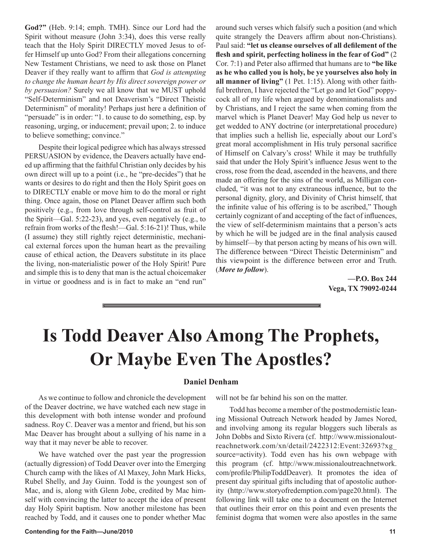**God?"** (Heb. 9:14; emph. TMH). Since our Lord had the Spirit without measure (John 3:34), does this verse really teach that the Holy Spirit DIRECTLY moved Jesus to offer Himself up unto God? From their allegations concerning New Testament Christians, we need to ask those on Planet Deaver if they really want to affirm that *God is attempting to change the human heart by His direct sovereign power or by persuasion?* Surely we all know that we MUST uphold "Self-Determinism" and not Deaverism's "Direct Theistic Determinism" of morality! Perhaps just here a definition of "persuade" is in order: "1. to cause to do something, esp. by reasoning, urging, or inducement; prevail upon; 2. to induce to believe something; convince."

Despite their logical pedigree which has always stressed PERSUASION by evidence, the Deavers actually have ended up affirming that the faithful Christian only decides by his own direct will up to a point (i.e., he "pre-decides") that he wants or desires to do right and then the Holy Spirit goes on to DIRECTLY enable or move him to do the moral or right thing. Once again, those on Planet Deaver affirm such both positively (e.g., from love through self-control as fruit of the Spirit—Gal. 5:22-23), and yes, even negatively (e.g., to refrain from works of the flesh!—Gal. 5:16-21)! Thus, while (I assume) they still rightly reject deterministic, mechanical external forces upon the human heart as the prevailing cause of ethical action, the Deavers substitute in its place the living, non-materialistic power of the Holy Spirit! Pure and simple this is to deny that man is the actual choicemaker in virtue or goodness and is in fact to make an "end run"

around such verses which falsify such a position (and which quite strangely the Deavers affirm about non-Christians). Paul said: **"let us cleanse ourselves of all defilement of the flesh and spirit, perfecting holiness in the fear of God"** (2 Cor. 7:1) and Peter also affirmed that humans are to **"be like as he who called you is holy, be ye yourselves also holy in all manner of living"** (1 Pet. 1:15). Along with other faithful brethren, I have rejected the "Let go and let God" poppycock all of my life when argued by denominationalists and by Christians, and I reject the same when coming from the marvel which is Planet Deaver! May God help us never to get wedded to ANY doctrine (or interpretational procedure) that implies such a hellish lie, especially about our Lord's great moral accomplishment in His truly personal sacrifice of Himself on Calvary's cross! While it may be truthfully said that under the Holy Spirit's influence Jesus went to the cross, rose from the dead, ascended in the heavens, and there made an offering for the sins of the world, as Milligan concluded, "it was not to any extraneous influence, but to the personal dignity, glory, and Divinity of Christ himself, that the infinite value of his offering is to be ascribed," Though certainly cognizant of and accepting of the fact of influences, the view of self-determinism maintains that a person's acts by which he will be judged are in the final analysis caused by himself—by that person acting by means of his own will. The difference between "Direct Theistic Determinism" and this viewpoint is the difference between error and Truth. (*More to follow*).

> **—P.O. Box 244 Vega, TX 79092-0244**

## **Is Todd Deaver Also Among The Prophets, Or Maybe Even The Apostles?**

#### **Daniel Denham**

As we continue to follow and chronicle the development of the Deaver doctrine, we have watched each new stage in this development with both intense wonder and profound sadness. Roy C. Deaver was a mentor and friend, but his son Mac Deaver has brought about a sullying of his name in a way that it may never be able to recover.

We have watched over the past year the progression (actually digression) of Todd Deaver over into the Emerging Church camp with the likes of Al Maxey, John Mark Hicks, Rubel Shelly, and Jay Guinn. Todd is the youngest son of Mac, and is, along with Glenn Jobe, credited by Mac himself with convincing the latter to accept the idea of present day Holy Spirit baptism. Now another milestone has been reached by Todd, and it causes one to ponder whether Mac

will not be far behind his son on the matter.

Todd has become a member of the postmodernistic leaning Missional Outreach Network headed by James Nored, and involving among its regular bloggers such liberals as John Dobbs and Sixto Rivera (cf. http://www.missionaloutreachnetwork.com/xn/detail/2422312:Event:32693?xg\_ source=activity). Todd even has his own webpage with this program (cf. http://www.missionaloutreachnetwork. com/profile/PhilipToddDeaver). It promotes the idea of present day spiritual gifts including that of apostolic authority (http://www.storyofredemption.com/page20.html). The following link will take one to a document on the Internet that outlines their error on this point and even presents the feminist dogma that women were also apostles in the same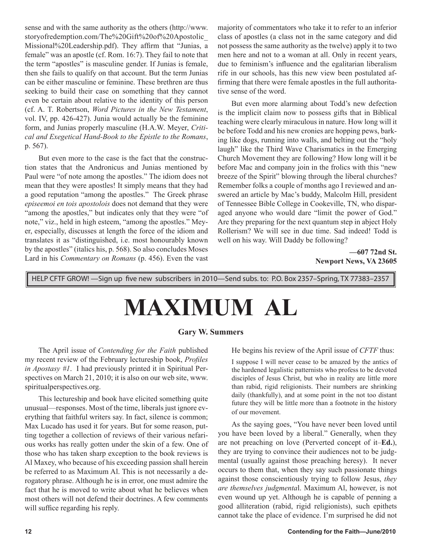sense and with the same authority as the others (http://www. storyofredemption.com/The%20Gift%20of%20Apostolic\_ Missional%20Leadership.pdf). They affirm that "Junias, a female" was an apostle (cf. Rom. 16:7). They fail to note that the term "apostles" is masculine gender. If Junias is female, then she fails to qualify on that account. But the term Junias can be either masculine or feminine. These brethren are thus seeking to build their case on something that they cannot even be certain about relative to the identity of this person (cf. A. T. Robertson, *Word Pictures in the New Testament*, vol. IV, pp. 426-427). Junia would actually be the feminine form, and Junias properly masculine (H.A.W. Meyer, *Critical and Exegetical Hand-Book to the Epistle to the Romans*, p. 567).

But even more to the case is the fact that the construction states that the Andronicus and Junias mentioned by Paul were "of note among the apostles." The idiom does not mean that they were apostles! It simply means that they had a good reputation "among the apostles." The Greek phrase *episeemoi en tois apostolois* does not demand that they were "among the apostles," but indicates only that they were "of note," viz., held in high esteem, "among the apostles." Meyer, especially, discusses at length the force of the idiom and translates it as "distinguished, i.e. most honourably known by the apostles" (italics his, p. 568). So also concludes Moses Lard in his *Commentary on Romans* (p. 456). Even the vast majority of commentators who take it to refer to an inferior class of apostles (a class not in the same category and did not possess the same authority as the twelve) apply it to two men here and not to a woman at all. Only in recent years, due to feminism's influence and the egalitarian liberalism rife in our schools, has this new view been postulated affirming that there were female apostles in the full authoritative sense of the word.

But even more alarming about Todd's new defection is the implicit claim now to possess gifts that in Biblical teaching were clearly miraculous in nature. How long will it be before Todd and his new cronies are hopping pews, barking like dogs, running into walls, and belting out the "holy laugh" like the Third Wave Charismatics in the Emerging Church Movement they are following? How long will it be before Mac and company join in the frolics with this "new breeze of the Spirit" blowing through the liberal churches? Remember folks a couple of months ago I reviewed and answered an article by Mac's buddy, Malcolm Hill, president of Tennessee Bible College in Cookeville, TN, who disparaged anyone who would dare "limit the power of God." Are they preparing for the next quantum step in abject Holy Rollerism? We will see in due time. Sad indeed! Todd is well on his way. Will Daddy be following?

> **—607 72nd St. Newport News, VA 23605**

HELP CFTF GROW! —Sign up five new subscribers in 2010—Send subs. to: P.O. Box 2357–Spring, TX 77383–2357

# **MAXIMUM AL**

#### **Gary W. Summers**

The April issue of *Contending for the Faith* published my recent review of the February lectureship book, *Profiles in Apostasy #1*. I had previously printed it in Spiritual Perspectives on March 21, 2010; it is also on our web site, www. spiritualperspectives.org.

This lectureship and book have elicited something quite unusual—responses. Most of the time, liberals just ignore everything that faithful writers say. In fact, silence is common; Max Lucado has used it for years. But for some reason, putting together a collection of reviews of their various nefarious works has really gotten under the skin of a few. One of those who has taken sharp exception to the book reviews is Al Maxey, who because of his exceeding passion shall herein be referred to as Maximum Al. This is not necessarily a derogatory phrase. Although he is in error, one must admire the fact that he is moved to write about what he believes when most others will not defend their doctrines. A few comments will suffice regarding his reply.

He begins his review of the April issue of *CFTF* thus:

I suppose I will never cease to be amazed by the antics of the hardened legalistic patternists who profess to be devoted disciples of Jesus Christ, but who in reality are little more than rabid, rigid religionists. Their numbers are shrinking daily (thankfully), and at some point in the not too distant future they will be little more than a footnote in the history of our movement.

As the saying goes, "You have never been loved until you have been loved by a liberal." Generally, when they are not preaching on love (Perverted concept of it–**Ed.**), they are trying to convince their audiences not to be judgmental (usually against those preaching heresy). It never occurs to them that, when they say such passionate things against those conscientiously trying to follow Jesus, *they are themselves judgmenta*l. Maximum Al, however, is not even wound up yet. Although he is capable of penning a good alliteration (rabid, rigid religionists), such epithets cannot take the place of evidence. I'm surprised he did not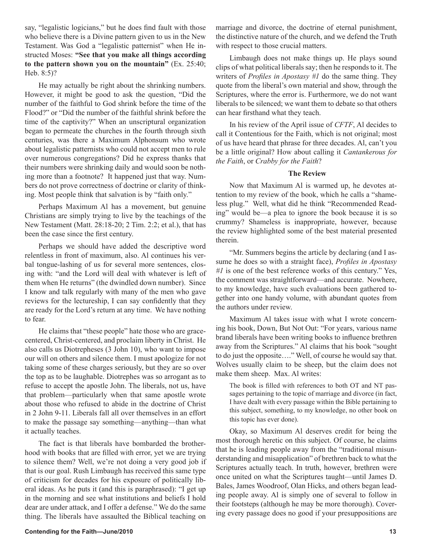say, "legalistic logicians," but he does find fault with those who believe there is a Divine pattern given to us in the New Testament. Was God a "legalistic patternist" when He instructed Moses: **"See that you make all things according to the pattern shown you on the mountain"** (Ex. 25:40; Heb. 8:5)?

He may actually be right about the shrinking numbers. However, it might be good to ask the question, "Did the number of the faithful to God shrink before the time of the Flood?" or "Did the number of the faithful shrink before the time of the captivity?" When an unscriptural organization began to permeate the churches in the fourth through sixth centuries, was there a Maximum Alphonsum who wrote about legalistic patternists who could not accept men to rule over numerous congregations? Did he express thanks that their numbers were shrinking daily and would soon be nothing more than a footnote? It happened just that way. Numbers do not prove correctness of doctrine or clarity of thinking. Most people think that salvation is by "faith only."

Perhaps Maximum Al has a movement, but genuine Christians are simply trying to live by the teachings of the New Testament (Matt. 28:18-20; 2 Tim. 2:2; et al.), that has been the case since the first century.

Perhaps we should have added the descriptive word relentless in front of maximum, also. Al continues his verbal tongue-lashing of us for several more sentences, closing with: "and the Lord will deal with whatever is left of them when He returns" (the dwindled down number). Since I know and talk regularly with many of the men who gave reviews for the lectureship, I can say confidently that they are ready for the Lord's return at any time. We have nothing to fear.

He claims that "these people" hate those who are gracecentered, Christ-centered, and proclaim liberty in Christ. He also calls us Diotrepheses (3 John 10), who want to impose our will on others and silence them. I must apologize for not taking some of these charges seriously, but they are so over the top as to be laughable. Diotrephes was so arrogant as to refuse to accept the apostle John. The liberals, not us, have that problem—particularly when that same apostle wrote about those who refused to abide in the doctrine of Christ in 2 John 9-11. Liberals fall all over themselves in an effort to make the passage say something—anything—than what it actually teaches.

The fact is that liberals have bombarded the brotherhood with books that are filled with error, yet we are trying to silence them? Well, we're not doing a very good job if that is our goal. Rush Limbaugh has received this same type of criticism for decades for his exposure of politically liberal ideas. As he puts it (and this is paraphrased): "I get up in the morning and see what institutions and beliefs I hold dear are under attack, and I offer a defense." We do the same thing. The liberals have assaulted the Biblical teaching on marriage and divorce, the doctrine of eternal punishment, the distinctive nature of the church, and we defend the Truth with respect to those crucial matters.

Limbaugh does not make things up. He plays sound clips of what political liberals say; then he responds to it. The writers of *Profiles in Apostasy #1* do the same thing. They quote from the liberal's own material and show, through the Scriptures, where the error is. Furthermore, we do not want liberals to be silenced; we want them to debate so that others can hear firsthand what they teach.

In his review of the April issue of *CFTF*, Al decides to call it Contentious for the Faith, which is not original; most of us have heard that phrase for three decades. Al, can't you be a little original? How about calling it *Cantankerous for the Faith*, or *Crabby for the Faith*?

#### **The Review**

Now that Maximum Al is warmed up, he devotes attention to my review of the book, which he calls a "shameless plug." Well, what did he think "Recommended Reading" would be—a plea to ignore the book because it is so crummy? Shameless is inappropriate, however, because the review highlighted some of the best material presented therein.

"Mr. Summers begins the article by declaring (and I assume he does so with a straight face), *Profiles in Apostasy #1* is one of the best reference works of this century." Yes, the comment was straightforward—and accurate. Nowhere, to my knowledge, have such evaluations been gathered together into one handy volume, with abundant quotes from the authors under review.

Maximum Al takes issue with what I wrote concerning his book, Down, But Not Out: "For years, various name brand liberals have been writing books to influence brethren away from the Scriptures." Al claims that his book "sought to do just the opposite…." Well, of course he would say that. Wolves usually claim to be sheep, but the claim does not make them sheep. Max. Al writes:

The book is filled with references to both OT and NT passages pertaining to the topic of marriage and divorce (in fact, I have dealt with every passage within the Bible pertaining to this subject, something, to my knowledge, no other book on this topic has ever done).

Okay, so Maximum Al deserves credit for being the most thorough heretic on this subject. Of course, he claims that he is leading people away from the "traditional misunderstanding and misapplication" of brethren back to what the Scriptures actually teach. In truth, however, brethren were once united on what the Scriptures taught—until James D. Bales, James Woodroof, Olan Hicks, and others began leading people away. Al is simply one of several to follow in their footsteps (although he may be more thorough). Covering every passage does no good if your presuppositions are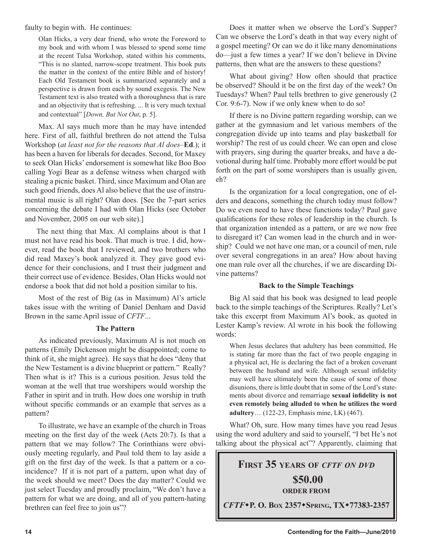faulty to begin with. He continues:

Olan Hicks, a very dear friend, who wrote the Foreword to my book and with whom I was blessed to spend some time at the recent Tulsa Workshop, stated within his comments, "This is no slanted, narrow-scope treatment. This book puts the matter in the context of the entire Bible and of history! Each Old Testament book is summarized separately and a perspective is drawn from each by sound exegesis. The New Testament text is also treated with a thoroughness that is rare and an objectivity that is refreshing. ... It is very much textual and contextual" [*Down, But Not Out*, p. 5].

Max. Al says much more than he may have intended here. First of all, faithful brethren do not attend the Tulsa Workshop (*at least not for the reasons that Al does*–**Ed**.); it has been a haven for liberals for decades. Second, for Maxey to seek Olan Hicks' endorsement is somewhat like Boo Boo calling Yogi Bear as a defense witness when charged with stealing a picnic basket. Third, since Maximum and Olan are such good friends, does Al also believe that the use of instrumental music is all right? Olan does. [See the 7-part series concerning the debate I had with Olan Hicks (see October and November, 2005 on our web site).]

The next thing that Max. Al complains about is that I must not have read his book. That much is true. I did, however, read the book that I reviewed, and two brothers who did read Maxey's book analyzed it. They gave good evidence for their conclusions, and I trust their judgment and their correct use of evidence. Besides, Olan Hicks would not endorse a book that did not hold a position similar to his.

Most of the rest of Big (as in Maximum) Al's article takes issue with the writing of Daniel Denham and David Brown in the same April issue of *CFTF*...

#### **The Pattern**

As indicated previously, Maximum Al is not much on patterns (Emily Dickenson might be disappointed; come to think of it, she might agree). He says that he does "deny that the New Testament is a divine blueprint or pattern." Really? Then what is it? This is a curious position. Jesus told the woman at the well that true worshipers would worship the Father in spirit and in truth. How does one worship in truth without specific commands or an example that serves as a pattern?

To illustrate, we have an example of the church in Troas meeting on the first day of the week (Acts 20:7). Is that a pattern that we may follow? The Corinthians were obviously meeting regularly, and Paul told them to lay aside a gift on the first day of the week. Is that a pattern or a coincidence? If it is not part of a pattern, upon what day of the week should we meet? Does the day matter? Could we just select Tuesday and proudly proclaim, "We don't have a pattern for what we are doing, and all of you pattern-hating brethren can feel free to join us"?

Does it matter when we observe the Lord's Supper? Can we observe the Lord's death in that way every night of a gospel meeting? Or can we do it like many denominations do—just a few times a year? If we don't believe in Divine patterns, then what are the answers to these questions?

What about giving? How often should that practice be observed? Should it be on the first day of the week? On Tuesdays? When? Paul tells brethren to give generously (2 Cor. 9:6-7). Now if we only knew when to do so!

If there is no Divine pattern regarding worship, can we gather at the gymnasium and let various members of the congregation divide up into teams and play basketball for worship? The rest of us could cheer. We can open and close with prayers, sing during the quarter breaks, and have a devotional during half time. Probably more effort would be put forth on the part of some worshipers than is usually given, eh?

Is the organization for a local congregation, one of elders and deacons, something the church today must follow? Do we even need to have these functions today? Paul gave qualifications for these roles of leadership in the church. Is that organization intended as a pattern, or are we now free to disregard it? Can women lead in the church and in worship? Could we not have one man, or a council of men, rule over several congregations in an area? How about having one man rule over all the churches, if we are discarding Divine patterns?

#### **Back to the Simple Teachings**

Big Al said that his book was designed to lead people back to the simple teachings of the Scriptures. Really? Let's take this excerpt from Maximum Al's book, as quoted in Lester Kamp's review. Al wrote in his book the following words:

When Jesus declares that adultery has been committed, He is stating far more than the fact of two people engaging in a physical act, He is declaring the fact of a broken covenant between the husband and wife. Although sexual infidelity may well have ultimately been the cause of some of those disunions, there is little doubt that in some of the Lord's statements about divorce and remarriage **sexual infidelity is not even remotely being alluded to when he utilizes the word adultery**… (122-23, Emphasis mine, LK) (467).

What? Oh, sure. How many times have you read Jesus using the word adultery and said to yourself, "I bet He's not talking about the physical act"? Apparently, claiming that

## **FIRST 35 YEARS OF** *CFTF ON DVD* **\$50.00 ORDER FROM** *CFTF***P. O. BOX 2357SPRING, TX77383-2357**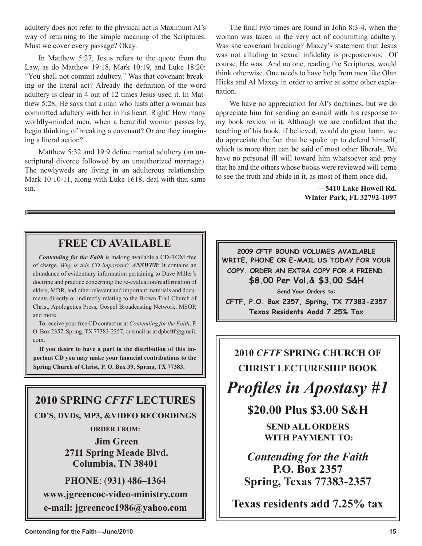adultery does not refer to the physical act is Maximum Al's way of returning to the simple meaning of the Scriptures. Must we cover every passage? Okay.

In Matthew 5:27, Jesus refers to the quote from the Law, as do Matthew 19:18, Mark 10:19, and Luke 18:20: "You shall not commit adultery." Was that covenant breaking or the literal act? Already the definition of the word adultery is clear in 4 out of 12 times Jesus used it. In Matthew 5:28, He says that a man who lusts after a woman has committed adultery with her in his heart. Right! How many worldly-minded men, when a beautiful woman passes by, begin thinking of breaking a covenant? Or are they imagining a literal action?

Matthew 5:32 and 19:9 define marital adultery (an unscriptural divorce followed by an unauthorized marriage). The newlyweds are living in an adulterous relationship. Mark 10:10-11, along with Luke 1618, deal with that same sin.

The final two times are found in John 8:3-4, when the woman was taken in the very act of committing adultery. Was she covenant breaking? Maxey's statement that Jesus was not alluding to sexual infidelity is preposterous. Of course, He was. And no one, reading the Scriptures, would think otherwise. One needs to have help from men like Olan Hicks and Al Maxey in order to arrive at some other explanation.

We have no appreciation for Al's doctrines, but we do appreciate him for sending an e-mail with his response to my book review in it. Although we are confident that the teaching of his book, if believed, would do great harm, we do appreciate the fact that he spoke up to defend himself, which is more than can be said of most other liberals. We have no personal ill will toward him whatsoever and pray that he and the others whose books were reviewed will come to see the truth and abide in it, as most of them once did.

> **—5410 Lake Howell Rd. Winter Park, FL 32792-1097**

### **FREE CD AVAILABLE**

*Contending for the Faith* is making available a CD-ROM free of charge. *Why is this CD important? ANSWER*: It contains an abundance of evidentiary information pertaining to Dave Miller's doctrine and practice concerning the re-evaluation/reaffirmation of elders, MDR, and other relevant and important materials and documents directly or indirectly relating to the Brown Trail Church of Christ, Apologetics Press, Gospel Broadcasting Network, MSOP, and more.

To receive your free CD contact us at *Contending for the Faith*, P. O. Box 2357, Spring, TX 77383-2357, or email us at dpbcftf@gmail. com.

**If you desire to have a part in the distribution of this important CD you may make your financial contributions to the Spring Church of Christ, P. O. Box 39, Spring, TX 77383.**

## **2010 SPRING** *CFTF* **LECTURES CD'S, DVDs, MP3, &VIDEO RECORDINGS**

**ORDER FROM:**

**Jim Green 2711 Spring Meade Blvd. Columbia, TN 38401**

**PHONE**: (**931) 486–1364 www.jgreencoc-video-ministry.com e-mail: jgreencoc1986@yahoo.com**

**2009 CFTF BOUND VOLUMES AVAILABLE WRITE, PHONE OR E-MAIL US TODAY FOR YOUR COPY. ORDER AN EXTRA COPY FOR A FRIEND. \$8.00 Per Vol.& \$3.00 S&H Send Your Orders to:**

**CFTF, P.O. Box 2357, Spring, TX 77383-2357 Texas Residents Aadd 7.25% Tax**

## **2010** *CFTF* **SPRING CHURCH OF CHRIST LECTURESHIP BOOK**

*Profiles in Apostasy #1*

**\$20.00 Plus \$3.00 S&H**

**SEND ALL ORDERS WITH PAYMENT TO:**

*Contending for the Faith* **P.O. Box 2357 Spring, Texas 77383-2357**

**Texas residents add 7.25% tax**